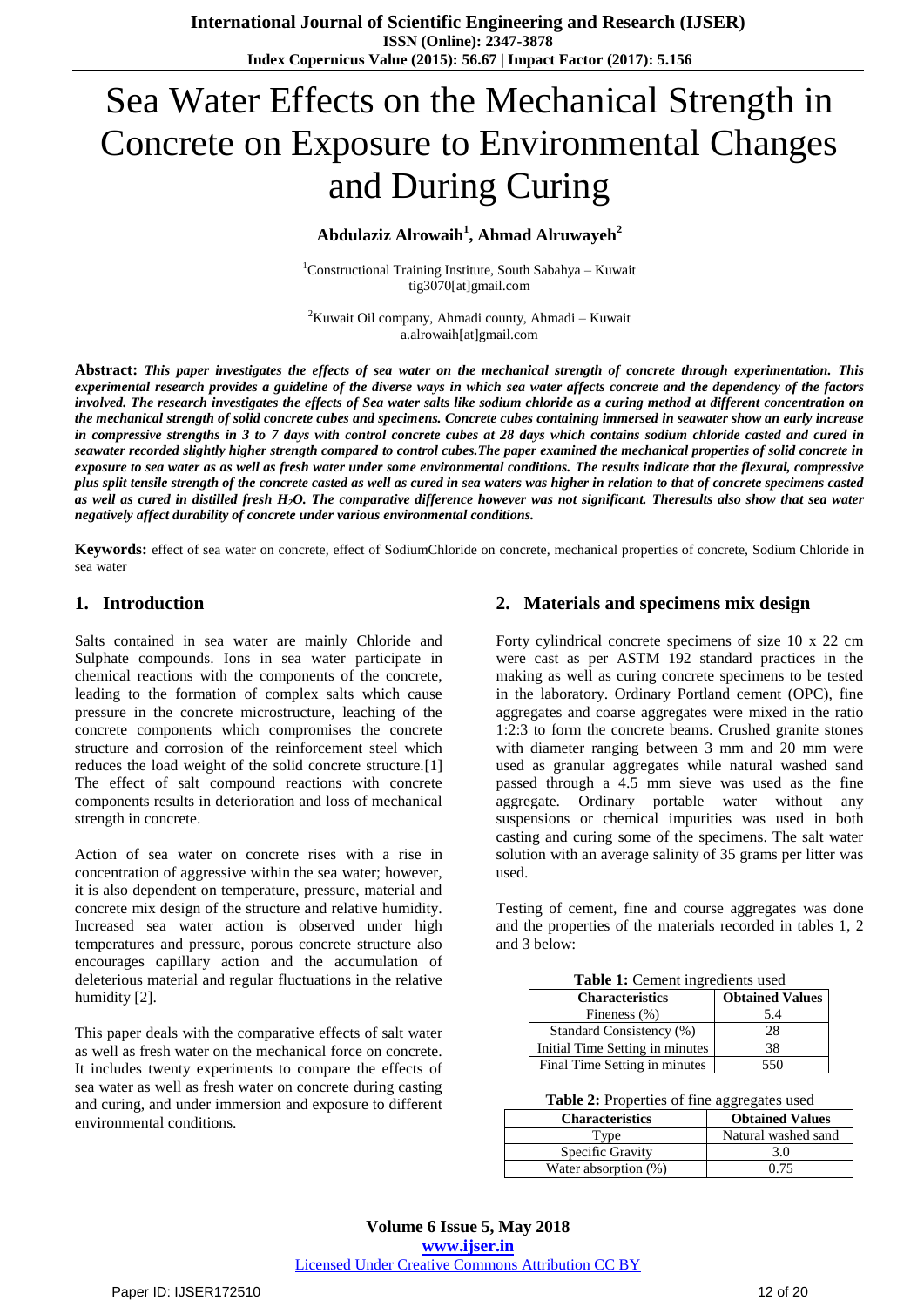# Sea Water Effects on the Mechanical Strength in Concrete on Exposure to Environmental Changes and During Curing

# **Abdulaziz Alrowaih<sup>1</sup> , Ahmad Alruwayeh<sup>2</sup>**

<sup>1</sup>Constructional Training Institute, South Sabahya – Kuwait tig3070[at]gmail.com

 ${}^{2}$ Kuwait Oil company, Ahmadi county, Ahmadi – Kuwait a.alrowaih[at]gmail.com

**Abstract:** *This paper investigates the effects of sea water on the mechanical strength of concrete through experimentation. This experimental research provides a guideline of the diverse ways in which sea water affects concrete and the dependency of the factors*  involved. The research investigates the effects of Sea water salts like sodium chloride as a curing method at different concentration on *the mechanical strength of solid concrete cubes and specimens. Concrete cubes containing immersed in seawater show an early increase in compressive strengths in 3 to 7 days with control concrete cubes at 28 days which contains sodium chloride casted and cured in seawater recorded slightly higher strength compared to control cubes.The paper examined the mechanical properties of solid concrete in exposure to sea water as as well as fresh water under some environmental conditions. The results indicate that the flexural, compressive plus split tensile strength of the concrete casted as well as cured in sea waters was higher in relation to that of concrete specimens casted as well as cured in distilled fresh H2O. The comparative difference however was not significant. Theresults also show that sea water negatively affect durability of concrete under various environmental conditions.*

**Keywords:** effect of sea water on concrete, effect of SodiumChloride on concrete, mechanical properties of concrete, Sodium Chloride in sea water

## **1. Introduction**

Salts contained in sea water are mainly Chloride and Sulphate compounds. Ions in sea water participate in chemical reactions with the components of the concrete, leading to the formation of complex salts which cause pressure in the concrete microstructure, leaching of the concrete components which compromises the concrete structure and corrosion of the reinforcement steel which reduces the load weight of the solid concrete structure.[1] The effect of salt compound reactions with concrete components results in deterioration and loss of mechanical strength in concrete.

Action of sea water on concrete rises with a rise in concentration of aggressive within the sea water; however, it is also dependent on temperature, pressure, material and concrete mix design of the structure and relative humidity. Increased sea water action is observed under high temperatures and pressure, porous concrete structure also encourages capillary action and the accumulation of deleterious material and regular fluctuations in the relative humidity [2].

This paper deals with the comparative effects of salt water as well as fresh water on the mechanical force on concrete. It includes twenty experiments to compare the effects of sea water as well as fresh water on concrete during casting and curing, and under immersion and exposure to different environmental conditions.

## **2. Materials and specimens mix design**

Forty cylindrical concrete specimens of size 10 x 22 cm were cast as per ASTM 192 standard practices in the making as well as curing concrete specimens to be tested in the laboratory. Ordinary Portland cement (OPC), fine aggregates and coarse aggregates were mixed in the ratio 1:2:3 to form the concrete beams. Crushed granite stones with diameter ranging between 3 mm and 20 mm were used as granular aggregates while natural washed sand passed through a 4.5 mm sieve was used as the fine aggregate. Ordinary portable water without any suspensions or chemical impurities was used in both casting and curing some of the specimens. The salt water solution with an average salinity of 35 grams per litter was used.

Testing of cement, fine and course aggregates was done and the properties of the materials recorded in tables 1, 2 and 3 below:

|  | Table 1: Cement ingredients used |  |
|--|----------------------------------|--|
|  |                                  |  |

| <b>Characteristics</b>          | <b>Obtained Values</b> |
|---------------------------------|------------------------|
| Fineness (%)                    | 5.4                    |
| Standard Consistency (%)        | 28                     |
| Initial Time Setting in minutes | 38                     |
| Final Time Setting in minutes   | 550                    |

**Table 2:** Properties of fine aggregates used

| <b>Characteristics</b> | <b>Obtained Values</b> |
|------------------------|------------------------|
| Type                   | Natural washed sand    |
| Specific Gravity       | 3.0                    |
| Water absorption (%)   | በ 75                   |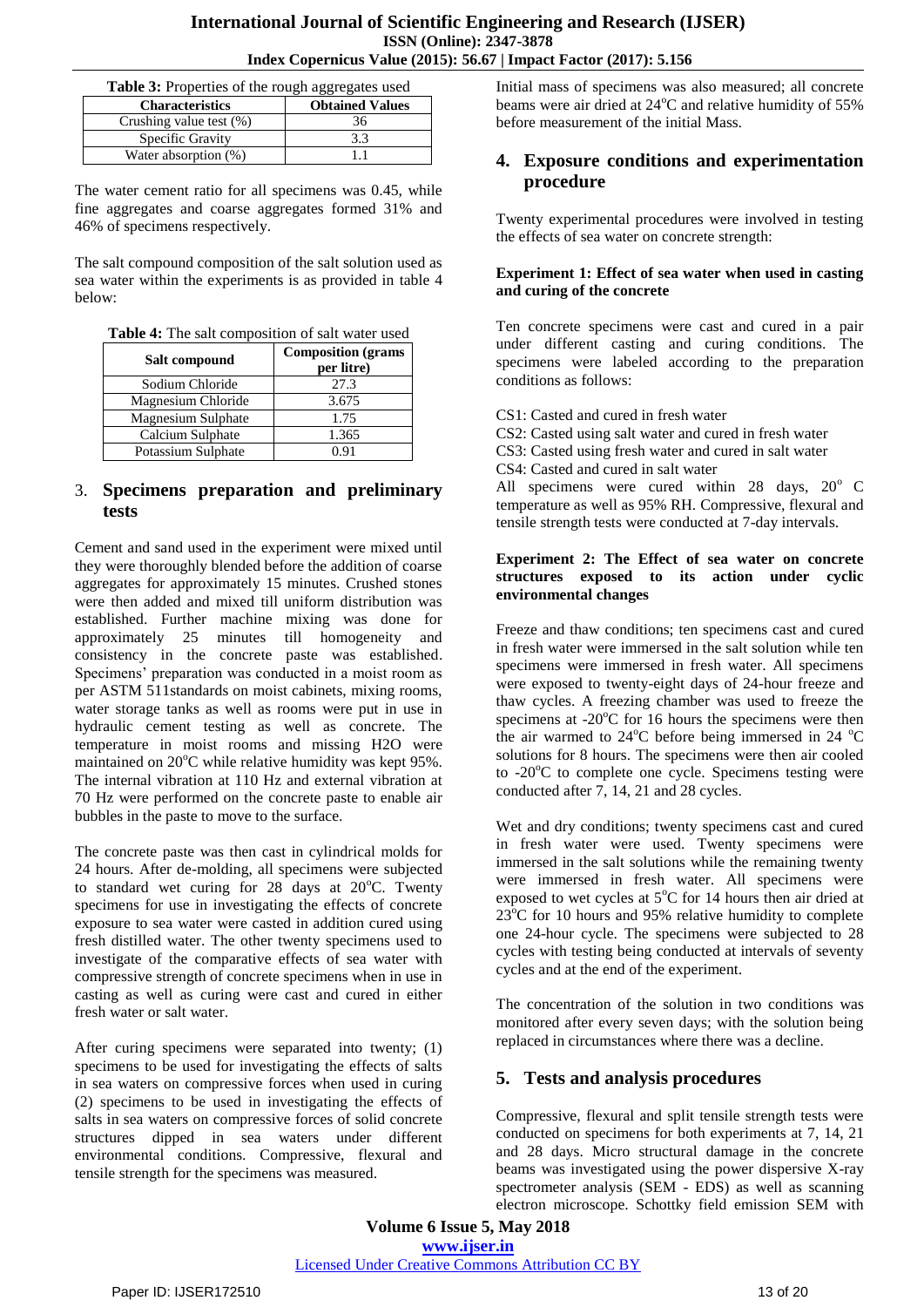| Table 3: Properties of the rough aggregates used |     |  |
|--------------------------------------------------|-----|--|
| <b>Obtained Values</b><br><b>Characteristics</b> |     |  |
| Crushing value test (%)                          | 36  |  |
| Specific Gravity                                 | 3.3 |  |
| Water absorption (%)                             |     |  |

The water cement ratio for all specimens was 0.45, while fine aggregates and coarse aggregates formed 31% and 46% of specimens respectively.

The salt compound composition of the salt solution used as sea water within the experiments is as provided in table 4 below:

| Table 4: The salt composition of salt water used |  |
|--------------------------------------------------|--|
|--------------------------------------------------|--|

| Salt compound      | <b>Composition</b> (grams<br>per litre) |  |
|--------------------|-----------------------------------------|--|
| Sodium Chloride    | 27.3                                    |  |
| Magnesium Chloride | 3.675                                   |  |
| Magnesium Sulphate | 1.75                                    |  |
| Calcium Sulphate   | 1.365                                   |  |
| Potassium Sulphate | በ 91                                    |  |

## 3. **Specimens preparation and preliminary tests**

Cement and sand used in the experiment were mixed until they were thoroughly blended before the addition of coarse aggregates for approximately 15 minutes. Crushed stones were then added and mixed till uniform distribution was established. Further machine mixing was done for approximately 25 minutes till homogeneity and consistency in the concrete paste was established. Specimens' preparation was conducted in a moist room as per ASTM 511standards on moist cabinets, mixing rooms, water storage tanks as well as rooms were put in use in hydraulic cement testing as well as concrete. The temperature in moist rooms and missing H2O were maintained on  $20^{\circ}$ C while relative humidity was kept 95%. The internal vibration at 110 Hz and external vibration at 70 Hz were performed on the concrete paste to enable air bubbles in the paste to move to the surface.

The concrete paste was then cast in cylindrical molds for 24 hours. After de-molding, all specimens were subjected to standard wet curing for 28 days at  $20^{\circ}$ C. Twenty specimens for use in investigating the effects of concrete exposure to sea water were casted in addition cured using fresh distilled water. The other twenty specimens used to investigate of the comparative effects of sea water with compressive strength of concrete specimens when in use in casting as well as curing were cast and cured in either fresh water or salt water.

After curing specimens were separated into twenty; (1) specimens to be used for investigating the effects of salts in sea waters on compressive forces when used in curing (2) specimens to be used in investigating the effects of salts in sea waters on compressive forces of solid concrete structures dipped in sea waters under different environmental conditions. Compressive, flexural and tensile strength for the specimens was measured.

Initial mass of specimens was also measured; all concrete beams were air dried at  $24^{\circ}$ C and relative humidity of 55% before measurement of the initial Mass.

## **4. Exposure conditions and experimentation procedure**

Twenty experimental procedures were involved in testing the effects of sea water on concrete strength:

#### **Experiment 1: Effect of sea water when used in casting and curing of the concrete**

Ten concrete specimens were cast and cured in a pair under different casting and curing conditions. The specimens were labeled according to the preparation conditions as follows:

CS1: Casted and cured in fresh water

CS2: Casted using salt water and cured in fresh water

CS3: Casted using fresh water and cured in salt water

CS4: Casted and cured in salt water

All specimens were cured within 28 days,  $20^{\circ}$  C temperature as well as 95% RH. Compressive, flexural and tensile strength tests were conducted at 7-day intervals.

#### **Experiment 2: The Effect of sea water on concrete structures exposed to its action under cyclic environmental changes**

Freeze and thaw conditions; ten specimens cast and cured in fresh water were immersed in the salt solution while ten specimens were immersed in fresh water. All specimens were exposed to twenty-eight days of 24-hour freeze and thaw cycles. A freezing chamber was used to freeze the specimens at  $-20^{\circ}$ C for 16 hours the specimens were then the air warmed to  $24^{\circ}$ C before being immersed in  $24^{\circ}$ C solutions for 8 hours. The specimens were then air cooled to  $-20^{\circ}$ C to complete one cycle. Specimens testing were conducted after 7, 14, 21 and 28 cycles.

Wet and dry conditions; twenty specimens cast and cured in fresh water were used. Twenty specimens were immersed in the salt solutions while the remaining twenty were immersed in fresh water. All specimens were exposed to wet cycles at  $5^{\circ}$ C for 14 hours then air dried at 23<sup>°</sup>C for 10 hours and 95% relative humidity to complete one 24-hour cycle. The specimens were subjected to 28 cycles with testing being conducted at intervals of seventy cycles and at the end of the experiment.

The concentration of the solution in two conditions was monitored after every seven days; with the solution being replaced in circumstances where there was a decline.

# **5. Tests and analysis procedures**

Compressive, flexural and split tensile strength tests were conducted on specimens for both experiments at 7, 14, 21 and 28 days. Micro structural damage in the concrete beams was investigated using the power dispersive X-ray spectrometer analysis (SEM - EDS) as well as scanning electron microscope. Schottky field emission SEM with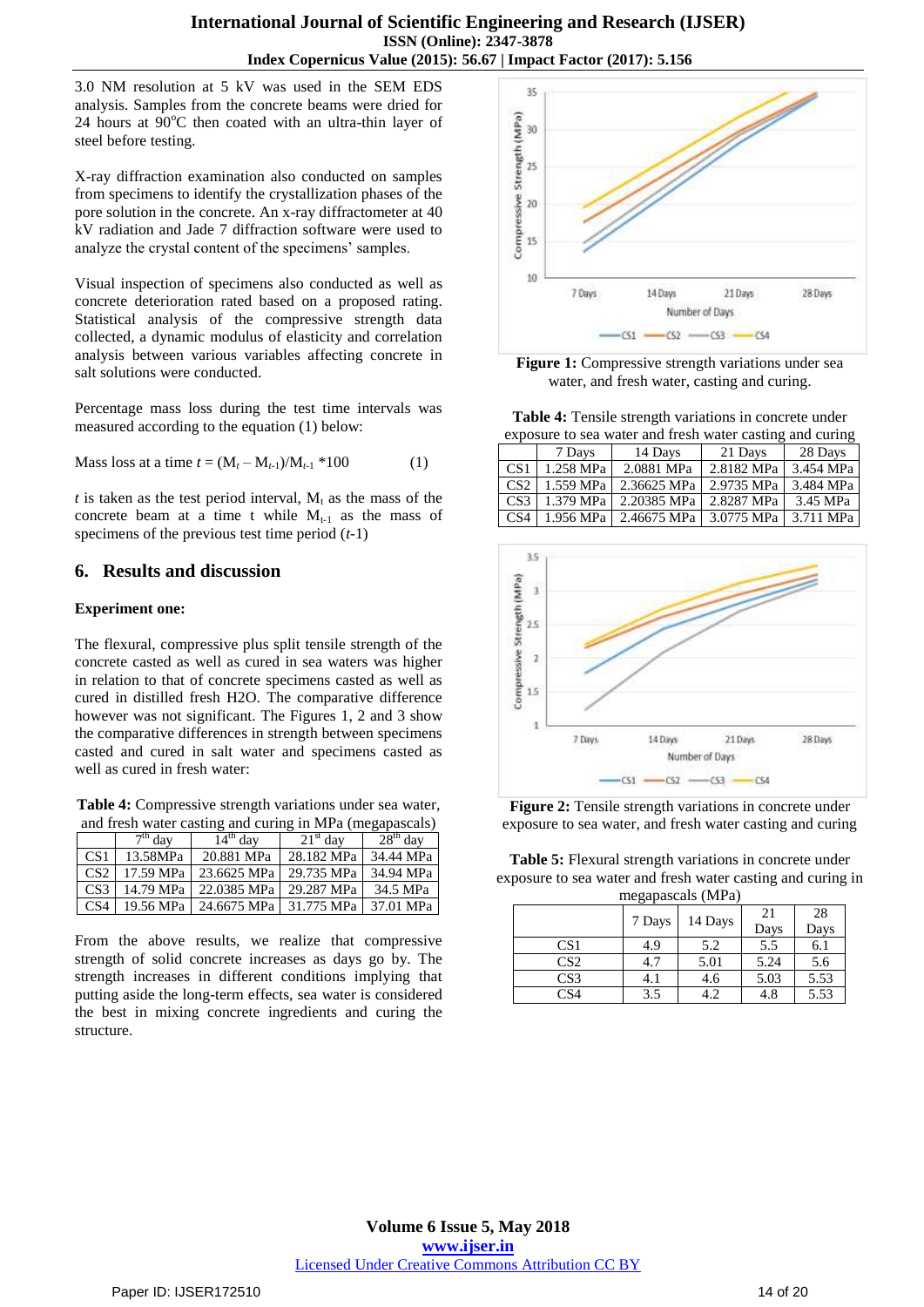3.0 NM resolution at 5 kV was used in the SEM EDS analysis. Samples from the concrete beams were dried for 24 hours at  $90^{\circ}$ C then coated with an ultra-thin layer of steel before testing.

X-ray diffraction examination also conducted on samples from specimens to identify the crystallization phases of the pore solution in the concrete. An x-ray diffractometer at 40 kV radiation and Jade 7 diffraction software were used to analyze the crystal content of the specimens' samples.

Visual inspection of specimens also conducted as well as concrete deterioration rated based on a proposed rating. Statistical analysis of the compressive strength data collected, a dynamic modulus of elasticity and correlation analysis between various variables affecting concrete in salt solutions were conducted.

Percentage mass loss during the test time intervals was measured according to the equation (1) below:

Mass loss at a time 
$$
t = (M_t - M_{t-1})/M_{t-1} * 100
$$
 (1)

 $t$  is taken as the test period interval,  $M_t$  as the mass of the concrete beam at a time t while  $M_{t-1}$  as the mass of specimens of the previous test time period (*t*-1)

## **6. Results and discussion**

## **Experiment one:**

The flexural, compressive plus split tensile strength of the concrete casted as well as cured in sea waters was higher in relation to that of concrete specimens casted as well as cured in distilled fresh H2O. The comparative difference however was not significant. The Figures 1, 2 and 3 show the comparative differences in strength between specimens casted and cured in salt water and specimens casted as well as cured in fresh water:

**Table 4:** Compressive strength variations under sea water, and fresh water casting and curing in MPa (megapascals)

|                 | $7th$ day | $14th$ day                           | $21st$ day | $28th$ day |
|-----------------|-----------|--------------------------------------|------------|------------|
| CS <sub>1</sub> | 13.58MPa  | 20.881 MPa                           | 28.182 MPa | 34.44 MPa  |
| CS2             | 17.59 MPa | 23.6625 MPa                          | 29.735 MPa | 34.94 MPa  |
| CS3             | 14.79 MPa | 22.0385 MPa                          | 29.287 MPa | 34.5 MPa   |
| CS4             |           | 19.56 MPa   24.6675 MPa   31.775 MPa |            | 37.01 MPa  |

From the above results, we realize that compressive strength of solid concrete increases as days go by. The strength increases in different conditions implying that putting aside the long-term effects, sea water is considered the best in mixing concrete ingredients and curing the structure.



Figure 1: Compressive strength variations under sea water, and fresh water, casting and curing.

**Table 4:** Tensile strength variations in concrete under exposure to sea water and fresh water casting and curing

| exposure to sea water and fresh water easing and curing |           |             |            |           |
|---------------------------------------------------------|-----------|-------------|------------|-----------|
|                                                         | 7 Days    | 14 Days     | 21 Days    | 28 Days   |
| CS <sub>1</sub>                                         | 1.258 MPa | 2.0881 MPa  | 2.8182 MPa | 3.454 MPa |
| CS <sub>2</sub>                                         | 1.559 MPa | 2.36625 MPa | 2.9735 MPa | 3.484 MPa |
| CS <sub>3</sub>                                         | 1.379 MPa | 2.20385 MPa | 2.8287 MPa | 3.45 MPa  |
| CS <sub>4</sub>                                         | 1.956 MPa | 2.46675 MPa | 3.0775 MPa | 3.711 MPa |



**Figure 2:** Tensile strength variations in concrete under exposure to sea water, and fresh water casting and curing

**Table 5:** Flexural strength variations in concrete under exposure to sea water and fresh water casting and curing in

| megapascals (MPa) |        |         |      |      |
|-------------------|--------|---------|------|------|
|                   |        |         | 21   | 28   |
|                   | 7 Days | 14 Days | Days | Days |
| CS <sub>1</sub>   | 4.9    | 5.2     | 5.5  | 6.1  |
| CS <sub>2</sub>   | 4.7    | 5.01    | 5.24 | 5.6  |
| CS <sub>3</sub>   | 4.1    | 4.6     | 5.03 | 5.53 |
| CS4               | 3.5    |         | 4.8  | 5.53 |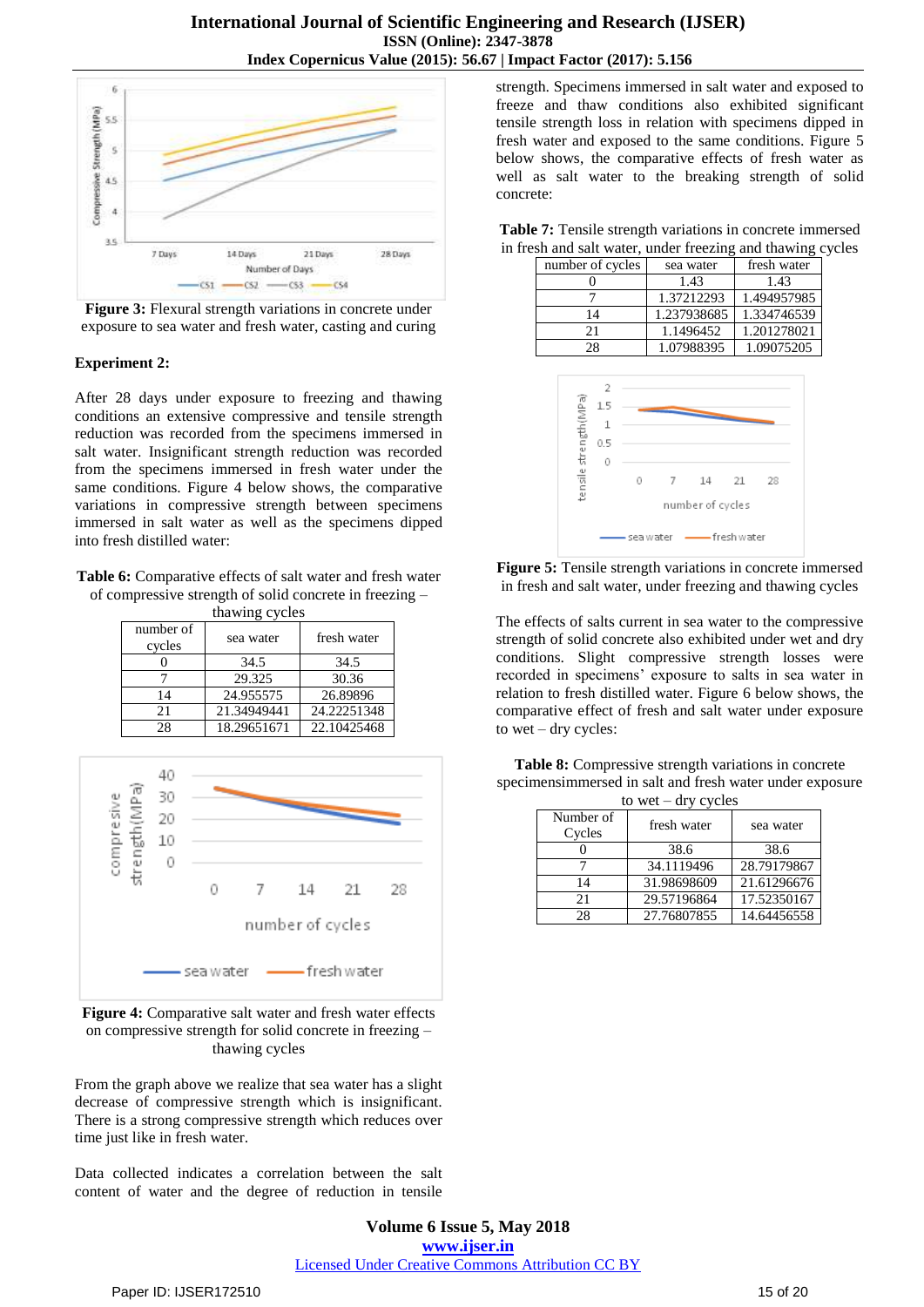

**Figure 3:** Flexural strength variations in concrete under exposure to sea water and fresh water, casting and curing

## **Experiment 2:**

After 28 days under exposure to freezing and thawing conditions an extensive compressive and tensile strength reduction was recorded from the specimens immersed in salt water. Insignificant strength reduction was recorded from the specimens immersed in fresh water under the same conditions. Figure 4 below shows, the comparative variations in compressive strength between specimens immersed in salt water as well as the specimens dipped into fresh distilled water:

**Table 6:** Comparative effects of salt water and fresh water of compressive strength of solid concrete in freezing –

| thawing cycles |             |             |  |  |
|----------------|-------------|-------------|--|--|
| number of      |             | fresh water |  |  |
| cycles         | sea water   |             |  |  |
|                | 34.5        | 34.5        |  |  |
|                | 29.325      | 30.36       |  |  |
| 14             | 24.955575   | 26.89896    |  |  |
| 21             | 21.34949441 | 24.22251348 |  |  |
| 28             | 18.29651671 | 22.10425468 |  |  |



**Figure 4:** Comparative salt water and fresh water effects on compressive strength for solid concrete in freezing – thawing cycles

From the graph above we realize that sea water has a slight decrease of compressive strength which is insignificant. There is a strong compressive strength which reduces over time just like in fresh water.

Data collected indicates a correlation between the salt content of water and the degree of reduction in tensile

strength. Specimens immersed in salt water and exposed to freeze and thaw conditions also exhibited significant tensile strength loss in relation with specimens dipped in fresh water and exposed to the same conditions. Figure 5 below shows, the comparative effects of fresh water as well as salt water to the breaking strength of solid concrete:

| Table 7: Tensile strength variations in concrete immersed  |
|------------------------------------------------------------|
| in fresh and salt water, under freezing and thawing cycles |

| number of cycles | sea water   | fresh water |
|------------------|-------------|-------------|
|                  | 1.43        | 1.43        |
|                  | 1.37212293  | 1.494957985 |
| 14               | 1.237938685 | 1.334746539 |
| 21               | 1.1496452   | 1.201278021 |
| 28               | 1.07988395  | 1.09075205  |



**Figure 5:** Tensile strength variations in concrete immersed in fresh and salt water, under freezing and thawing cycles

The effects of salts current in sea water to the compressive strength of solid concrete also exhibited under wet and dry conditions. Slight compressive strength losses were recorded in specimens' exposure to salts in sea water in relation to fresh distilled water. Figure 6 below shows, the comparative effect of fresh and salt water under exposure to wet – dry cycles:

**Table 8:** Compressive strength variations in concrete specimensimmersed in salt and fresh water under exposure to wet – dry cycles

| .<br>,              |             |             |  |
|---------------------|-------------|-------------|--|
| Number of<br>Cycles | fresh water | sea water   |  |
|                     | 38.6        | 38.6        |  |
|                     | 34.1119496  | 28.79179867 |  |
| 14                  | 31.98698609 | 21.61296676 |  |
| 21                  | 29.57196864 | 17.52350167 |  |
| 28                  | 27.76807855 | 14.64456558 |  |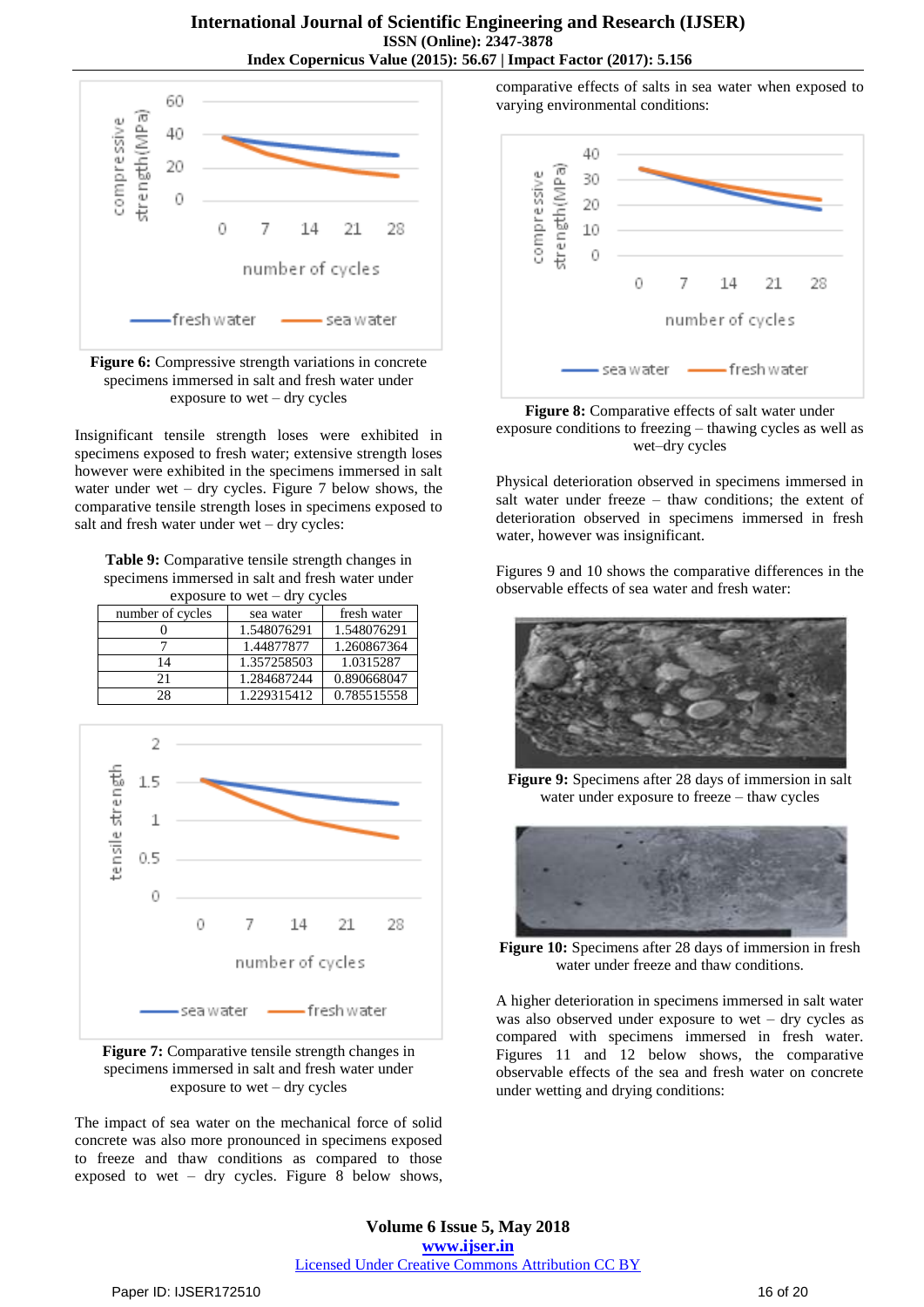

**Figure 6:** Compressive strength variations in concrete specimens immersed in salt and fresh water under exposure to wet – dry cycles

Insignificant tensile strength loses were exhibited in specimens exposed to fresh water; extensive strength loses however were exhibited in the specimens immersed in salt water under wet – dry cycles. Figure 7 below shows, the comparative tensile strength loses in specimens exposed to salt and fresh water under wet – dry cycles:

**Table 9:** Comparative tensile strength changes in specimens immersed in salt and fresh water under exposure to wet – dry cycles

| number of cycles | sea water   | fresh water |  |
|------------------|-------------|-------------|--|
|                  | 1.548076291 | 1.548076291 |  |
|                  | 1.44877877  | 1.260867364 |  |
| 14               | 1.357258503 | 1.0315287   |  |
| 21               | 1.284687244 | 0.890668047 |  |
| 28               | 1.229315412 | 0.785515558 |  |



**Figure 7:** Comparative tensile strength changes in specimens immersed in salt and fresh water under exposure to wet – dry cycles

The impact of sea water on the mechanical force of solid concrete was also more pronounced in specimens exposed to freeze and thaw conditions as compared to those exposed to wet – dry cycles. Figure 8 below shows, comparative effects of salts in sea water when exposed to varying environmental conditions:



**Figure 8:** Comparative effects of salt water under exposure conditions to freezing – thawing cycles as well as wet–dry cycles

Physical deterioration observed in specimens immersed in salt water under freeze – thaw conditions; the extent of deterioration observed in specimens immersed in fresh water, however was insignificant.

Figures 9 and 10 shows the comparative differences in the observable effects of sea water and fresh water:



**Figure 9:** Specimens after 28 days of immersion in salt water under exposure to freeze – thaw cycles



**Figure 10:** Specimens after 28 days of immersion in fresh water under freeze and thaw conditions.

A higher deterioration in specimens immersed in salt water was also observed under exposure to wet – dry cycles as compared with specimens immersed in fresh water. Figures 11 and 12 below shows, the comparative observable effects of the sea and fresh water on concrete under wetting and drying conditions: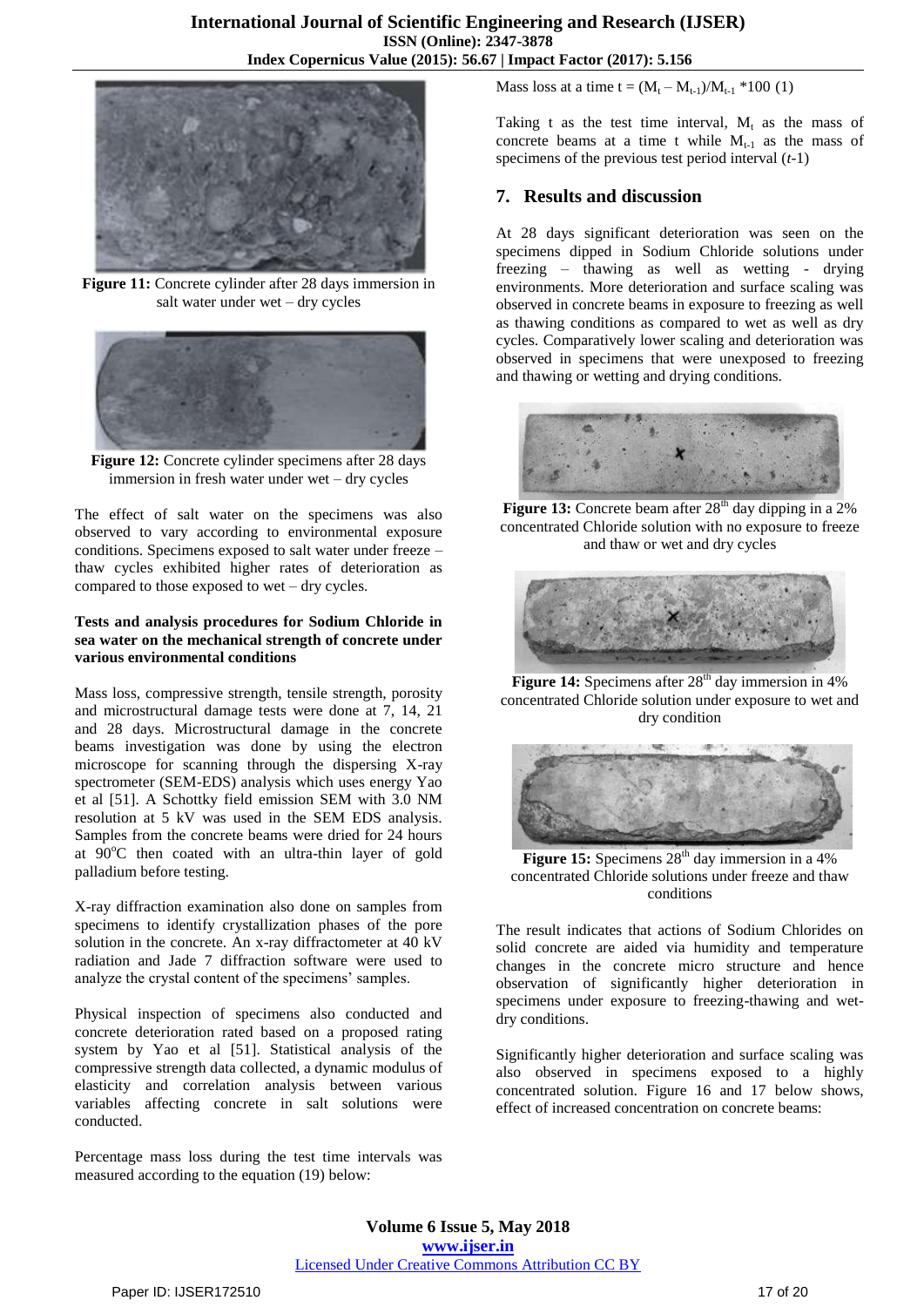

**Figure 11:** Concrete cylinder after 28 days immersion in salt water under wet – dry cycles



Figure 12: Concrete cylinder specimens after 28 days immersion in fresh water under wet – dry cycles

The effect of salt water on the specimens was also observed to vary according to environmental exposure conditions. Specimens exposed to salt water under freeze – thaw cycles exhibited higher rates of deterioration as compared to those exposed to wet – dry cycles.

#### **Tests and analysis procedures for Sodium Chloride in sea water on the mechanical strength of concrete under various environmental conditions**

Mass loss, compressive strength, tensile strength, porosity and microstructural damage tests were done at 7, 14, 21 and 28 days. Microstructural damage in the concrete beams investigation was done by using the electron microscope for scanning through the dispersing X-ray spectrometer (SEM-EDS) analysis which uses energy Yao et al [51]. A Schottky field emission SEM with 3.0 NM resolution at 5 kV was used in the SEM EDS analysis. Samples from the concrete beams were dried for 24 hours at  $90^{\circ}$ C then coated with an ultra-thin layer of gold palladium before testing.

X-ray diffraction examination also done on samples from specimens to identify crystallization phases of the pore solution in the concrete. An x-ray diffractometer at 40 kV radiation and Jade 7 diffraction software were used to analyze the crystal content of the specimens' samples.

Physical inspection of specimens also conducted and concrete deterioration rated based on a proposed rating system by Yao et al [51]. Statistical analysis of the compressive strength data collected, a dynamic modulus of elasticity and correlation analysis between various variables affecting concrete in salt solutions were conducted.

Percentage mass loss during the test time intervals was measured according to the equation (19) below:

Mass loss at a time  $t = (M_t - M_{t-1})/M_{t-1} * 100$  (1)

Taking t as the test time interval,  $M_t$  as the mass of concrete beams at a time t while  $M_{t-1}$  as the mass of specimens of the previous test period interval (*t*-1)

# **7. Results and discussion**

At 28 days significant deterioration was seen on the specimens dipped in Sodium Chloride solutions under freezing – thawing as well as wetting - drying environments. More deterioration and surface scaling was observed in concrete beams in exposure to freezing as well as thawing conditions as compared to wet as well as dry cycles. Comparatively lower scaling and deterioration was observed in specimens that were unexposed to freezing and thawing or wetting and drying conditions.



**Figure 13:** Concrete beam after 28<sup>th</sup> day dipping in a 2% concentrated Chloride solution with no exposure to freeze and thaw or wet and dry cycles



**Figure 14:** Specimens after 28<sup>th</sup> day immersion in 4% concentrated Chloride solution under exposure to wet and dry condition



**Figure 15:** Specimens  $28<sup>th</sup>$  day immersion in a 4% concentrated Chloride solutions under freeze and thaw conditions

The result indicates that actions of Sodium Chlorides on solid concrete are aided via humidity and temperature changes in the concrete micro structure and hence observation of significantly higher deterioration in specimens under exposure to freezing-thawing and wetdry conditions.

Significantly higher deterioration and surface scaling was also observed in specimens exposed to a highly concentrated solution. Figure 16 and 17 below shows, effect of increased concentration on concrete beams: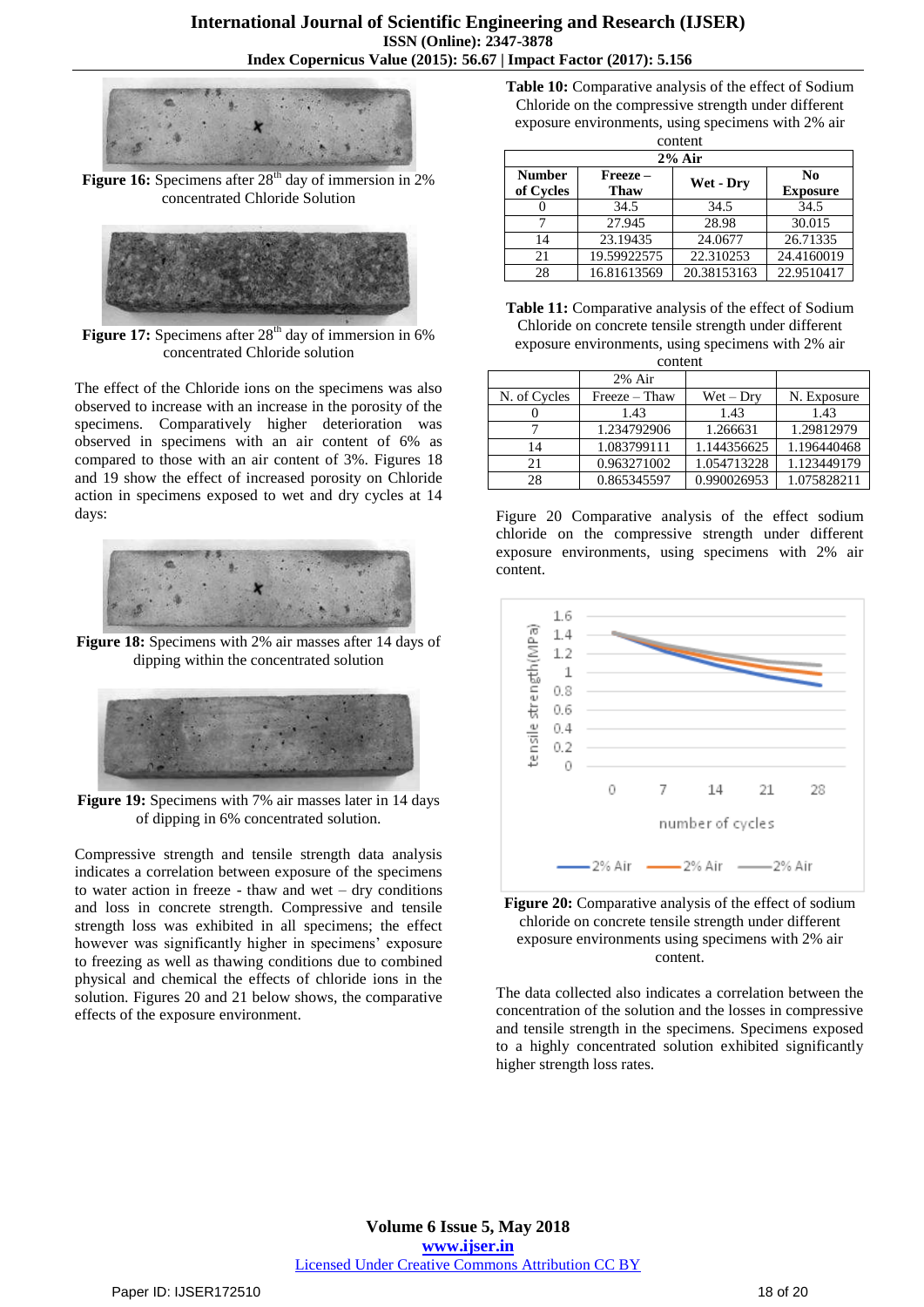

**Figure 16:** Specimens after 28<sup>th</sup> day of immersion in 2% concentrated Chloride Solution



**Figure 17:** Specimens after 28<sup>th</sup> day of immersion in 6% concentrated Chloride solution

The effect of the Chloride ions on the specimens was also observed to increase with an increase in the porosity of the specimens. Comparatively higher deterioration was observed in specimens with an air content of 6% as compared to those with an air content of 3%. Figures 18 and 19 show the effect of increased porosity on Chloride action in specimens exposed to wet and dry cycles at 14 days:



**Figure 18:** Specimens with 2% air masses after 14 days of dipping within the concentrated solution



**Figure 19:** Specimens with 7% air masses later in 14 days of dipping in 6% concentrated solution.

Compressive strength and tensile strength data analysis indicates a correlation between exposure of the specimens to water action in freeze - thaw and wet – dry conditions and loss in concrete strength. Compressive and tensile strength loss was exhibited in all specimens; the effect however was significantly higher in specimens' exposure to freezing as well as thawing conditions due to combined physical and chemical the effects of chloride ions in the solution. Figures 20 and 21 below shows, the comparative effects of the exposure environment.

**Table 10:** Comparative analysis of the effect of Sodium Chloride on the compressive strength under different exposure environments, using specimens with 2% air

| content       |             |             |                 |  |
|---------------|-------------|-------------|-----------------|--|
| $2\%$ Air     |             |             |                 |  |
| <b>Number</b> | Freeze –    | Wet - Dry   | N <sub>0</sub>  |  |
| of Cycles     | <b>Thaw</b> |             | <b>Exposure</b> |  |
|               | 34.5        | 34.5        | 34.5            |  |
|               | 27.945      | 28.98       | 30.015          |  |
| 14            | 23.19435    | 24.0677     | 26.71335        |  |
| 21            | 19.59922575 | 22.310253   | 24.4160019      |  |
| 28            | 16.81613569 | 20.38153163 | 22.9510417      |  |

**Table 11:** Comparative analysis of the effect of Sodium Chloride on concrete tensile strength under different exposure environments, using specimens with 2% air

| content      |               |             |             |  |
|--------------|---------------|-------------|-------------|--|
|              | $2\%$ Air     |             |             |  |
| N. of Cycles | Freeze – Thaw | $Wet - Dry$ | N. Exposure |  |
|              | 1.43          | 1.43        | 1.43        |  |
|              | 1.234792906   | 1.266631    | 1.29812979  |  |
| 14           | 1.083799111   | 1.144356625 | 1.196440468 |  |
| 21           | 0.963271002   | 1.054713228 | 1.123449179 |  |
| 28           | 0.865345597   | 0.990026953 | 1.075828211 |  |

Figure 20 Comparative analysis of the effect sodium chloride on the compressive strength under different exposure environments, using specimens with 2% air content.



**Figure 20:** Comparative analysis of the effect of sodium chloride on concrete tensile strength under different exposure environments using specimens with 2% air content.

The data collected also indicates a correlation between the concentration of the solution and the losses in compressive and tensile strength in the specimens. Specimens exposed to a highly concentrated solution exhibited significantly higher strength loss rates.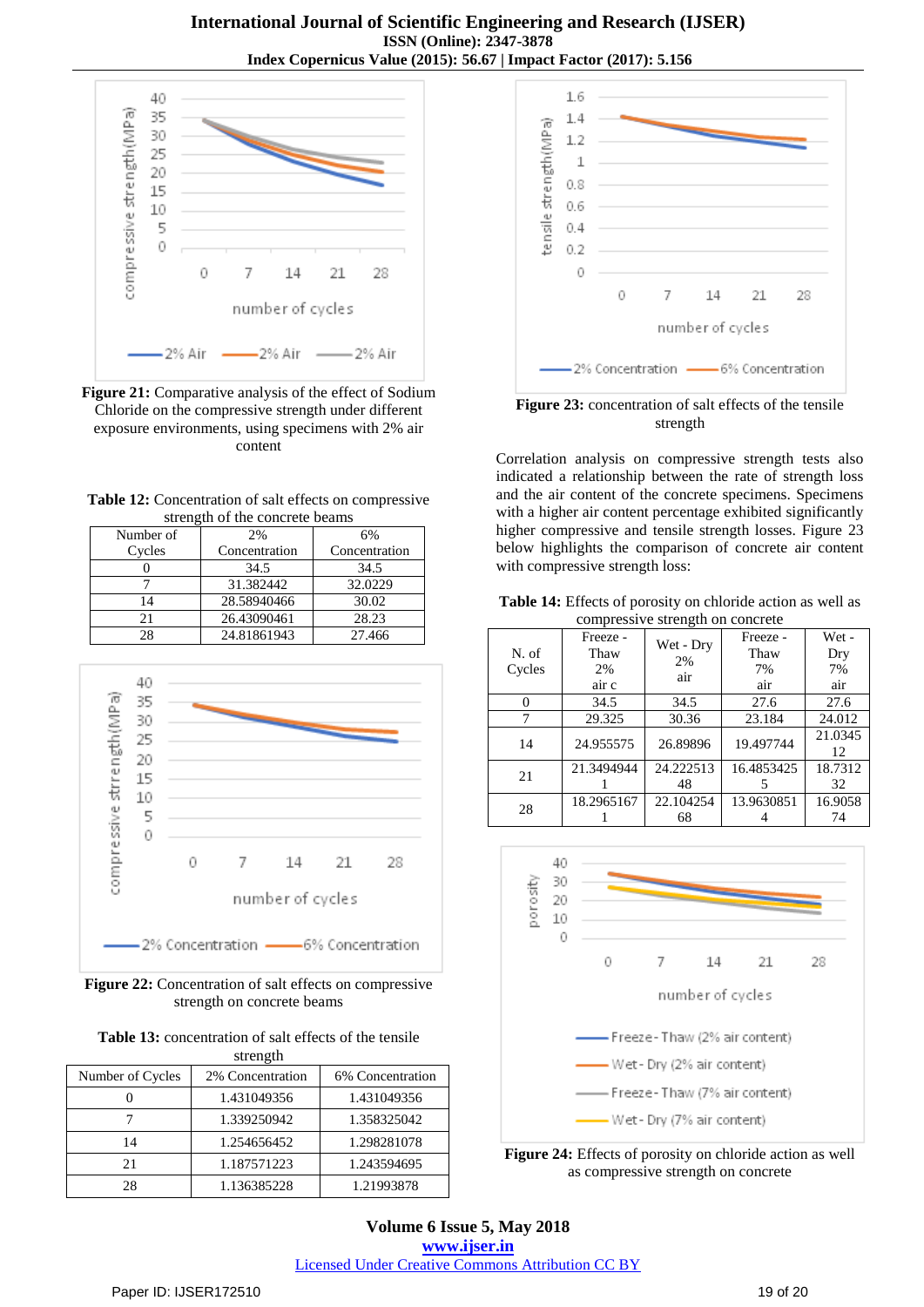

**Figure 21:** Comparative analysis of the effect of Sodium Chloride on the compressive strength under different exposure environments, using specimens with 2% air content

| Table 12: Concentration of salt effects on compressive |
|--------------------------------------------------------|
| strength of the concrete beams                         |

| Number of      | 2%            | 6%            |
|----------------|---------------|---------------|
| Cycles         | Concentration | Concentration |
|                | 34.5          | 34.5          |
|                | 31.382442     | 32.0229       |
| $\overline{4}$ | 28.58940466   | 30.02         |
|                | 26.43090461   | 28.23         |
|                | 24.81861943   | 27.466        |



**Figure 22:** Concentration of salt effects on compressive strength on concrete beams

Table 13: concentration of salt effects of the tensile strength

| Number of Cycles | 2% Concentration | 6% Concentration |  |
|------------------|------------------|------------------|--|
|                  | 1.431049356      | 1.431049356      |  |
|                  | 1.339250942      | 1.358325042      |  |
| 14               | 1.254656452      | 1.298281078      |  |
| 21               | 1.187571223      | 1.243594695      |  |
| 28               | 1.136385228      | 1.21993878       |  |



**Figure 23:** concentration of salt effects of the tensile strength

Correlation analysis on compressive strength tests also indicated a relationship between the rate of strength loss and the air content of the concrete specimens. Specimens with a higher air content percentage exhibited significantly higher compressive and tensile strength losses. Figure 23 below highlights the comparison of concrete air content with compressive strength loss:

**Table 14:** Effects of porosity on chloride action as well as compressive strength on concrete

| N. of  | Freeze -<br>Thaw | Wet - Dry | Freeze -<br>Thaw | Wet -<br>Dry  |
|--------|------------------|-----------|------------------|---------------|
| Cycles | 2%               | 2%<br>air | 7%               | 7%            |
|        | air c            |           | air              | air           |
|        | 34.5             | 34.5      | 27.6             | 27.6          |
|        | 29.325           | 30.36     | 23.184           | 24.012        |
| 14     | 24.955575        | 26.89896  | 19.497744        | 21.0345<br>12 |
| 21     | 21.3494944       | 24.222513 | 16.4853425       | 18.7312       |
|        |                  | 48        |                  | 32            |
| 28     | 18.2965167       | 22.104254 | 13.9630851       | 16.9058       |
|        |                  | 68        |                  | 74            |



**Figure 24:** Effects of porosity on chloride action as well as compressive strength on concrete

**Volume 6 Issue 5, May 2018 <www.ijser.in>** [Licensed Under Creative Commons Attribution CC BY](http://creativecommons.org/licenses/by/4.0/)